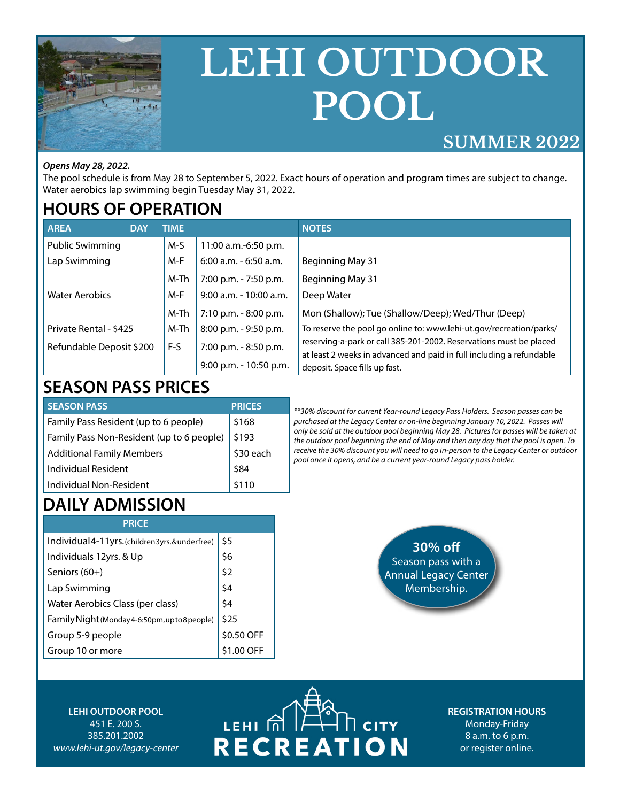

# **LEHI OUTDOOR POOL**

#### **SUMMER 2022**

#### *Opens May 28, 2022.*

The pool schedule is from May 28 to September 5, 2022. Exact hours of operation and program times are subject to change. Water aerobics lap swimming begin Tuesday May 31, 2022.

#### **HOURS OF OPERATION**

| AREA<br><b>DAY</b>       | <b>TIME</b> |                          | <b>NOTES</b>                                                         |
|--------------------------|-------------|--------------------------|----------------------------------------------------------------------|
| <b>Public Swimming</b>   | M-S         | 11:00 a.m.-6:50 p.m.     |                                                                      |
| Lap Swimming             | M-F         | $6:00$ a.m. $-6:50$ a.m. | Beginning May 31                                                     |
|                          | M-Th        | 7:00 p.m. - 7:50 p.m.    | Beginning May 31                                                     |
| <b>Water Aerobics</b>    | M-F         | $9:00$ a.m. - 10:00 a.m. | Deep Water                                                           |
|                          | M-Th        | 7:10 p.m. - 8:00 p.m.    | Mon (Shallow); Tue (Shallow/Deep); Wed/Thur (Deep)                   |
| Private Rental - \$425   | M-Th        | 8:00 p.m. - 9:50 p.m.    | To reserve the pool go online to: www.lehi-ut.gov/recreation/parks/  |
| Refundable Deposit \$200 | F-S         | 7:00 p.m. - 8:50 p.m.    | reserving-a-park or call 385-201-2002. Reservations must be placed   |
|                          |             |                          | at least 2 weeks in advanced and paid in full including a refundable |
|                          |             | 9:00 p.m. - 10:50 p.m.   | deposit. Space fills up fast.                                        |

## **SEASON PASS PRICES**

| <b>SEASON PASS</b>                        | <b>PRICES</b> |
|-------------------------------------------|---------------|
| Family Pass Resident (up to 6 people)     | \$168         |
| Family Pass Non-Resident (up to 6 people) | \$193         |
| <b>Additional Family Members</b>          | \$30 each     |
| Individual Resident                       | \$84          |
| Individual Non-Resident                   |               |

*\*\*30% discount for current Year-round Legacy Pass Holders. Season passes can be purchased at the Legacy Center or on-line beginning January 10, 2022. Passes will only be sold at the outdoor pool beginning May 28. Pictures for passes will be taken at the outdoor pool beginning the end of May and then any day that the pool is open. To receive the 30% discount you will need to go in-person to the Legacy Center or outdoor pool once it opens, and be a current year-round Legacy pass holder.*

## **DAILY ADMISSION**

| <b>PRICE</b> |
|--------------|
|--------------|

| Individual4-11yrs.(children3yrs.&underfree)    | \$5        |
|------------------------------------------------|------------|
| Individuals 12yrs. & Up                        | \$6        |
| Seniors (60+)                                  | \$2        |
| Lap Swimming                                   | \$4        |
| Water Aerobics Class (per class)               | \$4        |
| Family Night (Monday 4-6:50pm, up to 8 people) | \$25       |
| Group 5-9 people                               | \$0.50 OFF |
| Group 10 or more                               | \$1.00 OFF |
|                                                |            |



#### **LEHI OUTDOOR POOL** 451 E. 200 S. 385.201.2002 *www.lehi-ut.gov/legacy-center*

# $\overline{L}$   $\overline{L}$   $\overline{H}$   $\overline{H}$   $\overline{H}$  $\overline{\mathbb{L}}$  city **RECREATION**

**REGISTRATION HOURS** Monday-Friday 8 a.m. to 6 p.m. or register online.